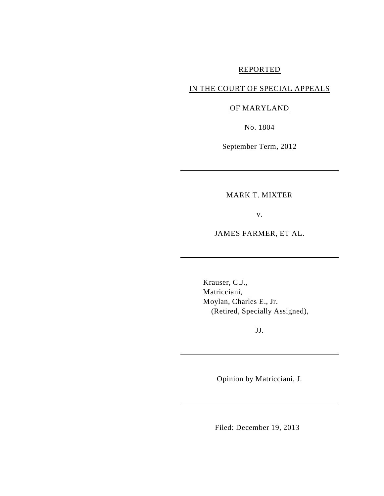# REPORTED

# IN THE COURT OF SPECIAL APPEALS

## OF MARYLAND

No. 1804

September Term, 2012

MARK T. MIXTER

v.

JAMES FARMER, ET AL.

Krauser, C.J., Matricciani, Moylan, Charles E., Jr. (Retired, Specially Assigned),

JJ.

Opinion by Matricciani, J.

Filed: December 19, 2013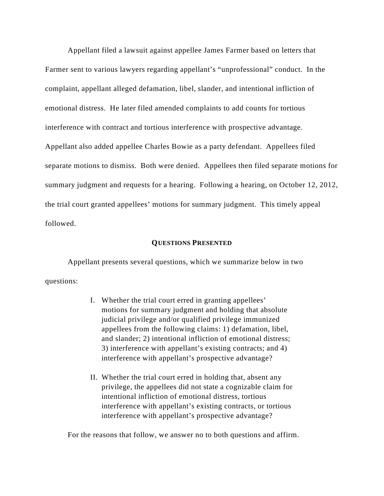Appellant filed a lawsuit against appellee James Farmer based on letters that Farmer sent to various lawyers regarding appellant's "unprofessional" conduct. In the complaint, appellant alleged defamation, libel, slander, and intentional infliction of emotional distress. He later filed amended complaints to add counts for tortious interference with contract and tortious interference with prospective advantage. Appellant also added appellee Charles Bowie as a party defendant. Appellees filed separate motions to dismiss. Both were denied. Appellees then filed separate motions for summary judgment and requests for a hearing. Following a hearing, on October 12, 2012, the trial court granted appellees' motions for summary judgment. This timely appeal followed.

#### **QUESTIONS PRESENTED**

Appellant presents several questions, which we summarize below in two questions:

- I. Whether the trial court erred in granting appellees' motions for summary judgment and holding that absolute judicial privilege and/or qualified privilege immunized appellees from the following claims: 1) defamation, libel, and slander; 2) intentional infliction of emotional distress; 3) interference with appellant's existing contracts; and 4) interference with appellant's prospective advantage?
- II. Whether the trial court erred in holding that, absent any privilege, the appellees did not state a cognizable claim for intentional infliction of emotional distress, tortious interference with appellant's existing contracts, or tortious interference with appellant's prospective advantage?

For the reasons that follow, we answer no to both questions and affirm.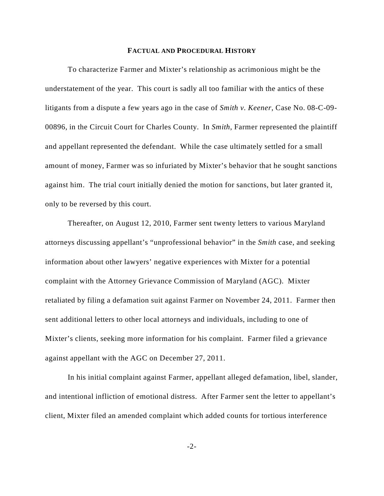#### **FACTUAL AND PROCEDURAL HISTORY**

To characterize Farmer and Mixter's relationship as acrimonious might be the understatement of the year. This court is sadly all too familiar with the antics of these litigants from a dispute a few years ago in the case of *Smith v. Keener*, Case No. 08-C-09- 00896, in the Circuit Court for Charles County. In *Smith*, Farmer represented the plaintiff and appellant represented the defendant. While the case ultimately settled for a small amount of money, Farmer was so infuriated by Mixter's behavior that he sought sanctions against him. The trial court initially denied the motion for sanctions, but later granted it, only to be reversed by this court.

Thereafter, on August 12, 2010, Farmer sent twenty letters to various Maryland attorneys discussing appellant's "unprofessional behavior" in the *Smith* case, and seeking information about other lawyers' negative experiences with Mixter for a potential complaint with the Attorney Grievance Commission of Maryland (AGC). Mixter retaliated by filing a defamation suit against Farmer on November 24, 2011. Farmer then sent additional letters to other local attorneys and individuals, including to one of Mixter's clients, seeking more information for his complaint. Farmer filed a grievance against appellant with the AGC on December 27, 2011.

In his initial complaint against Farmer, appellant alleged defamation, libel, slander, and intentional infliction of emotional distress. After Farmer sent the letter to appellant's client, Mixter filed an amended complaint which added counts for tortious interference

-2-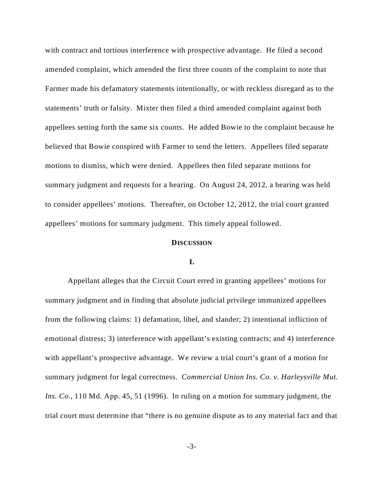with contract and tortious interference with prospective advantage. He filed a second amended complaint, which amended the first three counts of the complaint to note that Farmer made his defamatory statements intentionally, or with reckless disregard as to the statements' truth or falsity. Mixter then filed a third amended complaint against both appellees setting forth the same six counts. He added Bowie to the complaint because he believed that Bowie conspired with Farmer to send the letters. Appellees filed separate motions to dismiss, which were denied. Appellees then filed separate motions for summary judgment and requests for a hearing. On August 24, 2012, a hearing was held to consider appellees' motions. Thereafter, on October 12, 2012, the trial court granted appellees' motions for summary judgment. This timely appeal followed.

#### **DISCUSSION**

### **I.**

Appellant alleges that the Circuit Court erred in granting appellees' motions for summary judgment and in finding that absolute judicial privilege immunized appellees from the following claims: 1) defamation, libel, and slander; 2) intentional infliction of emotional distress; 3) interference with appellant's existing contracts; and 4) interference with appellant's prospective advantage. We review a trial court's grant of a motion for summary judgment for legal correctness. *Commercial Union Ins. Co. v. Harleysville Mut. Ins. Co.*, 110 Md. App. 45, 51 (1996). In ruling on a motion for summary judgment, the trial court must determine that "there is no genuine dispute as to any material fact and that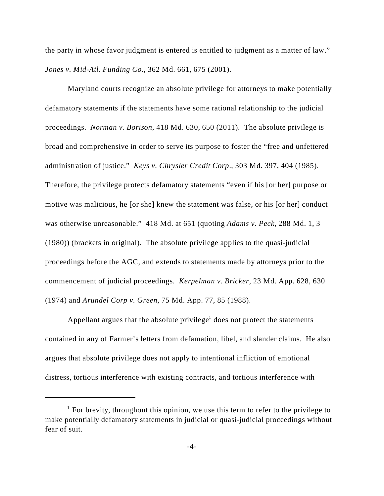the party in whose favor judgment is entered is entitled to judgment as a matter of law." *Jones v. Mid-Atl. Funding Co.*, 362 Md. 661, 675 (2001).

Maryland courts recognize an absolute privilege for attorneys to make potentially defamatory statements if the statements have some rational relationship to the judicial proceedings. *Norman v. Borison*, 418 Md. 630, 650 (2011). The absolute privilege is broad and comprehensive in order to serve its purpose to foster the "free and unfettered administration of justice." *Keys v. Chrysler Credit Corp*., 303 Md. 397, 404 (1985). Therefore, the privilege protects defamatory statements "even if his [or her] purpose or motive was malicious, he [or she] knew the statement was false, or his [or her] conduct was otherwise unreasonable." 418 Md. at 651 (quoting *Adams v. Peck*, 288 Md. 1, 3 (1980)) (brackets in original). The absolute privilege applies to the quasi-judicial proceedings before the AGC, and extends to statements made by attorneys prior to the commencement of judicial proceedings. *Kerpelman v. Bricker*, 23 Md. App. 628, 630 (1974) and *Arundel Corp v. Green*, 75 Md. App. 77, 85 (1988).

Appellant argues that the absolute privilege<sup>1</sup> does not protect the statements contained in any of Farmer's letters from defamation, libel, and slander claims. He also argues that absolute privilege does not apply to intentional infliction of emotional distress, tortious interference with existing contracts, and tortious interference with

 $\frac{1}{1}$  For brevity, throughout this opinion, we use this term to refer to the privilege to make potentially defamatory statements in judicial or quasi-judicial proceedings without fear of suit.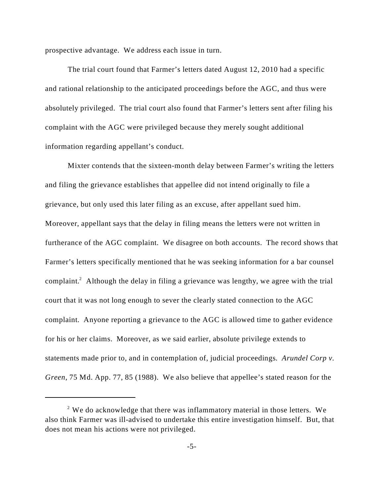prospective advantage. We address each issue in turn.

The trial court found that Farmer's letters dated August 12, 2010 had a specific and rational relationship to the anticipated proceedings before the AGC, and thus were absolutely privileged. The trial court also found that Farmer's letters sent after filing his complaint with the AGC were privileged because they merely sought additional information regarding appellant's conduct.

 Mixter contends that the sixteen-month delay between Farmer's writing the letters and filing the grievance establishes that appellee did not intend originally to file a grievance, but only used this later filing as an excuse, after appellant sued him. Moreover, appellant says that the delay in filing means the letters were not written in furtherance of the AGC complaint. We disagree on both accounts. The record shows that Farmer's letters specifically mentioned that he was seeking information for a bar counsel complaint.<sup>2</sup> Although the delay in filing a grievance was lengthy, we agree with the trial court that it was not long enough to sever the clearly stated connection to the AGC complaint. Anyone reporting a grievance to the AGC is allowed time to gather evidence for his or her claims. Moreover, as we said earlier, absolute privilege extends to statements made prior to, and in contemplation of, judicial proceedings*. Arundel Corp v. Green*, 75 Md. App. 77, 85 (1988). We also believe that appellee's stated reason for the

 $\degree$  We do acknowledge that there was inflammatory material in those letters. We also think Farmer was ill-advised to undertake this entire investigation himself. But, that does not mean his actions were not privileged.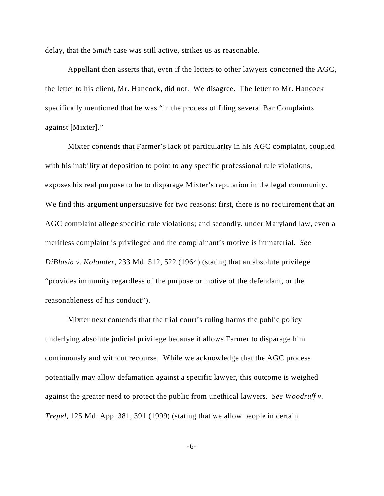delay, that the *Smith* case was still active, strikes us as reasonable.

Appellant then asserts that, even if the letters to other lawyers concerned the AGC, the letter to his client, Mr. Hancock, did not. We disagree. The letter to Mr. Hancock specifically mentioned that he was "in the process of filing several Bar Complaints against [Mixter]."

Mixter contends that Farmer's lack of particularity in his AGC complaint, coupled with his inability at deposition to point to any specific professional rule violations, exposes his real purpose to be to disparage Mixter's reputation in the legal community. We find this argument unpersuasive for two reasons: first, there is no requirement that an AGC complaint allege specific rule violations; and secondly, under Maryland law, even a meritless complaint is privileged and the complainant's motive is immaterial. *See DiBlasio v. Kolonder*, 233 Md. 512, 522 (1964) (stating that an absolute privilege "provides immunity regardless of the purpose or motive of the defendant, or the reasonableness of his conduct").

Mixter next contends that the trial court's ruling harms the public policy underlying absolute judicial privilege because it allows Farmer to disparage him continuously and without recourse. While we acknowledge that the AGC process potentially may allow defamation against a specific lawyer, this outcome is weighed against the greater need to protect the public from unethical lawyers. *See Woodruff v. Trepel*, 125 Md. App. 381, 391 (1999) (stating that we allow people in certain

-6-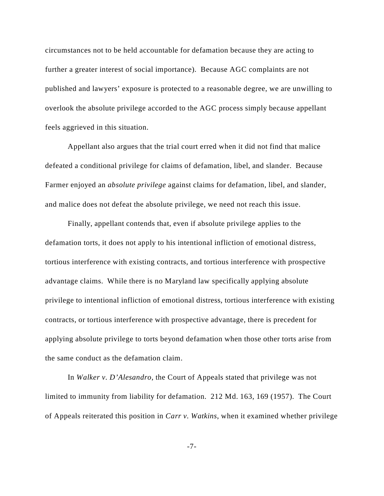circumstances not to be held accountable for defamation because they are acting to further a greater interest of social importance). Because AGC complaints are not published and lawyers' exposure is protected to a reasonable degree, we are unwilling to overlook the absolute privilege accorded to the AGC process simply because appellant feels aggrieved in this situation.

Appellant also argues that the trial court erred when it did not find that malice defeated a conditional privilege for claims of defamation, libel, and slander. Because Farmer enjoyed an *absolute privilege* against claims for defamation, libel, and slander, and malice does not defeat the absolute privilege, we need not reach this issue.

Finally, appellant contends that, even if absolute privilege applies to the defamation torts, it does not apply to his intentional infliction of emotional distress, tortious interference with existing contracts, and tortious interference with prospective advantage claims. While there is no Maryland law specifically applying absolute privilege to intentional infliction of emotional distress, tortious interference with existing contracts, or tortious interference with prospective advantage, there is precedent for applying absolute privilege to torts beyond defamation when those other torts arise from the same conduct as the defamation claim.

In *Walker v. D'Alesandro*, the Court of Appeals stated that privilege was not limited to immunity from liability for defamation. 212 Md. 163, 169 (1957). The Court of Appeals reiterated this position in *Carr v. Watkins*, when it examined whether privilege

-7-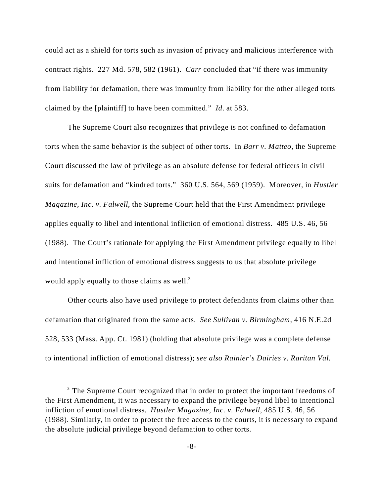could act as a shield for torts such as invasion of privacy and malicious interference with contract rights. 227 Md. 578, 582 (1961). *Carr* concluded that "if there was immunity from liability for defamation, there was immunity from liability for the other alleged torts claimed by the [plaintiff] to have been committed." *Id*. at 583.

The Supreme Court also recognizes that privilege is not confined to defamation torts when the same behavior is the subject of other torts. In *Barr v. Matteo*, the Supreme Court discussed the law of privilege as an absolute defense for federal officers in civil suits for defamation and "kindred torts." 360 U.S. 564, 569 (1959). Moreover, in *Hustler Magazine, Inc. v. Falwell*, the Supreme Court held that the First Amendment privilege applies equally to libel and intentional infliction of emotional distress. 485 U.S. 46, 56 (1988). The Court's rationale for applying the First Amendment privilege equally to libel and intentional infliction of emotional distress suggests to us that absolute privilege would apply equally to those claims as well.<sup>3</sup>

Other courts also have used privilege to protect defendants from claims other than defamation that originated from the same acts. *See Sullivan v. Birmingham*, 416 N.E.2d 528, 533 (Mass. App. Ct. 1981) (holding that absolute privilege was a complete defense to intentional infliction of emotional distress); *see also Rainier's Dairies v. Raritan Val.*

 $3$  The Supreme Court recognized that in order to protect the important freedoms of the First Amendment, it was necessary to expand the privilege beyond libel to intentional infliction of emotional distress. *Hustler Magazine, Inc. v. Falwell*, 485 U.S. 46, 56 (1988). Similarly, in order to protect the free access to the courts, it is necessary to expand the absolute judicial privilege beyond defamation to other torts.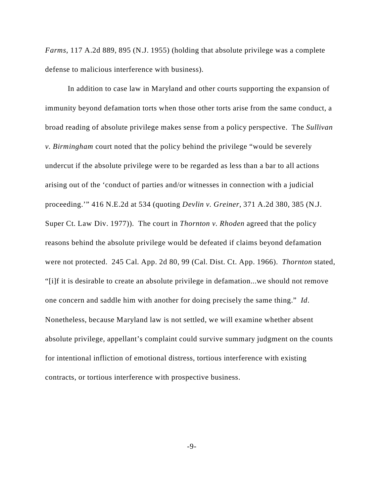*Farms*, 117 A.2d 889, 895 (N.J. 1955) (holding that absolute privilege was a complete defense to malicious interference with business).

In addition to case law in Maryland and other courts supporting the expansion of immunity beyond defamation torts when those other torts arise from the same conduct, a broad reading of absolute privilege makes sense from a policy perspective. The *Sullivan v. Birmingham* court noted that the policy behind the privilege "would be severely undercut if the absolute privilege were to be regarded as less than a bar to all actions arising out of the 'conduct of parties and/or witnesses in connection with a judicial proceeding.'" 416 N.E.2d at 534 (quoting *Devlin v. Greiner*, 371 A.2d 380, 385 (N.J. Super Ct. Law Div. 1977)). The court in *Thornton v. Rhoden* agreed that the policy reasons behind the absolute privilege would be defeated if claims beyond defamation were not protected. 245 Cal. App. 2d 80, 99 (Cal. Dist. Ct. App. 1966). *Thornton* stated, "[i]f it is desirable to create an absolute privilege in defamation...we should not remove one concern and saddle him with another for doing precisely the same thing." *Id*. Nonetheless, because Maryland law is not settled, we will examine whether absent absolute privilege, appellant's complaint could survive summary judgment on the counts for intentional infliction of emotional distress, tortious interference with existing contracts, or tortious interference with prospective business.

-9-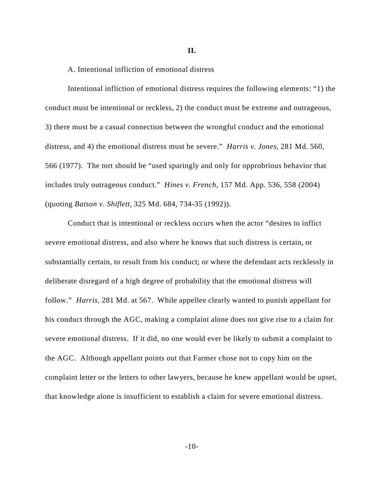**II.**

## A. Intentional infliction of emotional distress

Intentional infliction of emotional distress requires the following elements: "1) the conduct must be intentional or reckless, 2) the conduct must be extreme and outrageous, 3) there must be a casual connection between the wrongful conduct and the emotional distress, and 4) the emotional distress must be severe." *Harris v. Jones*, 281 Md. 560, 566 (1977). The tort should be "used sparingly and only for opprobrious behavior that includes truly outrageous conduct." *Hines v. French*, 157 Md. App. 536, 558 (2004) (quoting *Batson v. Shiflett*, 325 Md. 684, 734-35 (1992)).

Conduct that is intentional or reckless occurs when the actor "desires to inflict severe emotional distress, and also where he knows that such distress is certain, or substantially certain, to result from his conduct; or where the defendant acts recklessly in deliberate disregard of a high degree of probability that the emotional distress will follow." *Harris*, 281 Md. at 567. While appellee clearly wanted to punish appellant for his conduct through the AGC, making a complaint alone does not give rise to a claim for severe emotional distress. If it did, no one would ever be likely to submit a complaint to the AGC. Although appellant points out that Farmer chose not to copy him on the complaint letter or the letters to other lawyers, because he knew appellant would be upset, that knowledge alone is insufficient to establish a claim for severe emotional distress.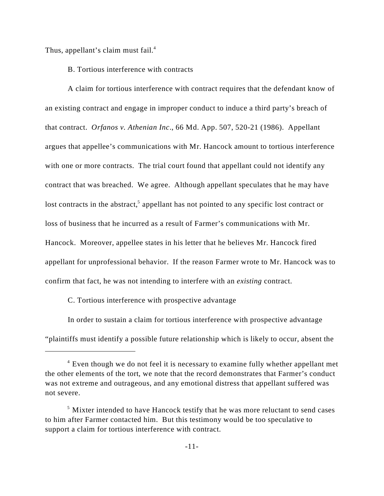Thus, appellant's claim must fail.<sup>4</sup>

B. Tortious interference with contracts

A claim for tortious interference with contract requires that the defendant know of an existing contract and engage in improper conduct to induce a third party's breach of that contract. *Orfanos v. Athenian Inc*., 66 Md. App. 507, 520-21 (1986). Appellant argues that appellee's communications with Mr. Hancock amount to tortious interference with one or more contracts. The trial court found that appellant could not identify any contract that was breached. We agree. Although appellant speculates that he may have lost contracts in the abstract,<sup>5</sup> appellant has not pointed to any specific lost contract or loss of business that he incurred as a result of Farmer's communications with Mr. Hancock. Moreover, appellee states in his letter that he believes Mr. Hancock fired appellant for unprofessional behavior. If the reason Farmer wrote to Mr. Hancock was to confirm that fact, he was not intending to interfere with an *existing* contract.

C. Tortious interference with prospective advantage

In order to sustain a claim for tortious interference with prospective advantage "plaintiffs must identify a possible future relationship which is likely to occur, absent the

 $4$  Even though we do not feel it is necessary to examine fully whether appellant met the other elements of the tort, we note that the record demonstrates that Farmer's conduct was not extreme and outrageous, and any emotional distress that appellant suffered was not severe.

 $<sup>5</sup>$  Mixter intended to have Hancock testify that he was more reluctant to send cases</sup> to him after Farmer contacted him. But this testimony would be too speculative to support a claim for tortious interference with contract.